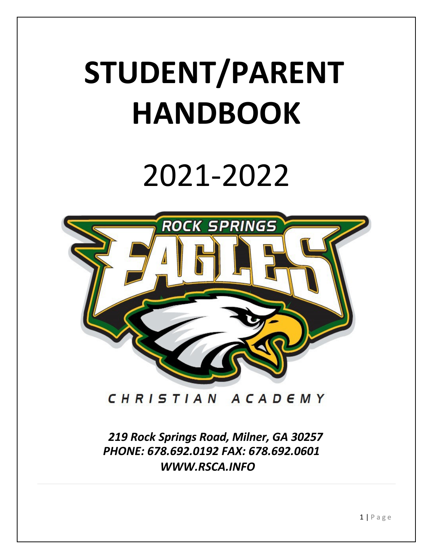# **STUDENT/PARENT HANDBOOK**

# 2021-2022



CHRISTIAN ACADEMY

*219 Rock Springs Road, Milner, GA 30257 PHONE: 678.692.0192 FAX: 678.692.0601 [WWW.RSCA.INFO](http://www.rsca.info/)*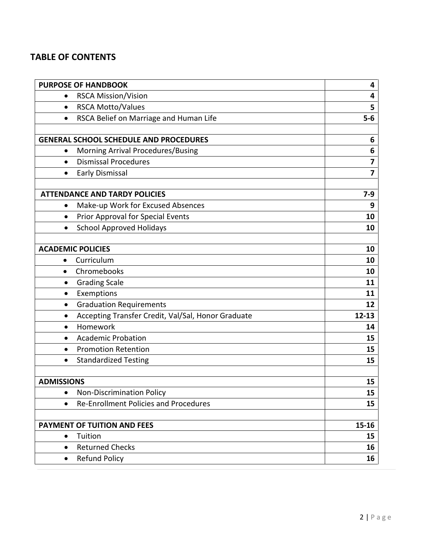# **TABLE OF CONTENTS**

| <b>PURPOSE OF HANDBOOK</b>                              | 4                        |
|---------------------------------------------------------|--------------------------|
| <b>RSCA Mission/Vision</b><br>$\bullet$                 | 4                        |
| <b>RSCA Motto/Values</b><br>$\bullet$                   | 5                        |
| RSCA Belief on Marriage and Human Life<br>$\bullet$     | $5-6$                    |
| <b>GENERAL SCHOOL SCHEDULE AND PROCEDURES</b>           | 6                        |
| Morning Arrival Procedures/Busing                       | 6                        |
| <b>Dismissal Procedures</b><br>$\bullet$                | $\overline{\mathbf{z}}$  |
| <b>Early Dismissal</b><br>٠                             | $\overline{\phantom{a}}$ |
|                                                         |                          |
| <b>ATTENDANCE AND TARDY POLICIES</b>                    | $7-9$                    |
| Make-up Work for Excused Absences<br>$\bullet$          | 9                        |
| Prior Approval for Special Events<br>$\bullet$          | 10                       |
| <b>School Approved Holidays</b><br>$\bullet$            | 10                       |
|                                                         |                          |
| <b>ACADEMIC POLICIES</b>                                | 10                       |
| Curriculum<br>$\bullet$                                 | 10                       |
| Chromebooks<br>$\bullet$                                | 10                       |
| <b>Grading Scale</b><br>٠                               | 11                       |
| Exemptions<br>$\bullet$                                 | 11                       |
| <b>Graduation Requirements</b><br>$\bullet$             | 12                       |
| Accepting Transfer Credit, Val/Sal, Honor Graduate<br>٠ | $12 - 13$                |
| Homework<br>$\bullet$                                   | 14                       |
| <b>Academic Probation</b><br>$\bullet$                  | 15                       |
| <b>Promotion Retention</b><br>$\bullet$                 | 15                       |
| <b>Standardized Testing</b><br>$\bullet$                | 15                       |
| <b>ADMISSIONS</b>                                       | 15                       |
| Non-Discrimination Policy                               | 15                       |
| <b>Re-Enrollment Policies and Procedures</b>            | 15                       |
|                                                         |                          |
| <b>PAYMENT OF TUITION AND FEES</b>                      | $15 - 16$                |
| Tuition<br>$\bullet$                                    | 15                       |
| <b>Returned Checks</b><br>$\bullet$                     | 16                       |
| <b>Refund Policy</b><br>$\bullet$                       | 16                       |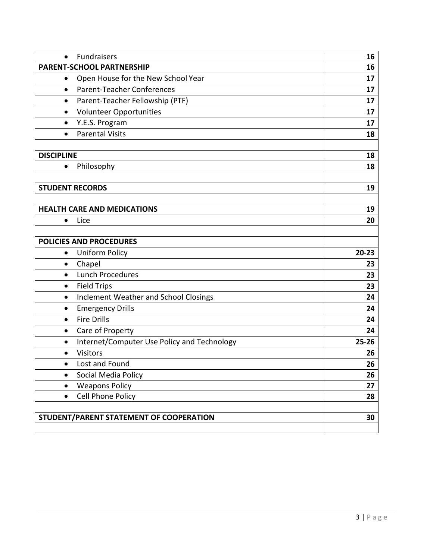| <b>Fundraisers</b><br>$\bullet$                           | 16        |
|-----------------------------------------------------------|-----------|
| <b>PARENT-SCHOOL PARTNERSHIP</b>                          | 16        |
| Open House for the New School Year<br>٠                   | 17        |
| <b>Parent-Teacher Conferences</b><br>$\bullet$            | 17        |
| Parent-Teacher Fellowship (PTF)<br>٠                      | 17        |
| <b>Volunteer Opportunities</b><br>$\bullet$               | 17        |
| Y.E.S. Program<br>$\bullet$                               | 17        |
| <b>Parental Visits</b><br>$\bullet$                       | 18        |
| <b>DISCIPLINE</b>                                         | 18        |
| Philosophy<br>$\bullet$                                   | 18        |
|                                                           |           |
| <b>STUDENT RECORDS</b>                                    | 19        |
| <b>HEALTH CARE AND MEDICATIONS</b>                        | 19        |
| Lice<br>$\bullet$                                         | 20        |
|                                                           |           |
| <b>POLICIES AND PROCEDURES</b>                            |           |
| <b>Uniform Policy</b><br>$\bullet$                        | $20 - 23$ |
| Chapel<br>$\bullet$                                       | 23        |
| <b>Lunch Procedures</b><br>$\bullet$                      | 23        |
| <b>Field Trips</b><br>$\bullet$                           | 23        |
| <b>Inclement Weather and School Closings</b><br>$\bullet$ | 24        |
| <b>Emergency Drills</b><br>$\bullet$                      | 24        |
| <b>Fire Drills</b><br>$\bullet$                           | 24        |
| Care of Property<br>$\bullet$                             | 24        |
| Internet/Computer Use Policy and Technology<br>$\bullet$  | $25 - 26$ |
| <b>Visitors</b><br>$\bullet$                              | 26        |
| Lost and Found<br>$\bullet$                               | 26        |
| Social Media Policy<br>$\bullet$                          | 26        |
| <b>Weapons Policy</b><br>٠                                | 27        |
| Cell Phone Policy<br>$\bullet$                            | 28        |
|                                                           |           |
| STUDENT/PARENT STATEMENT OF COOPERATION                   | 30        |
|                                                           |           |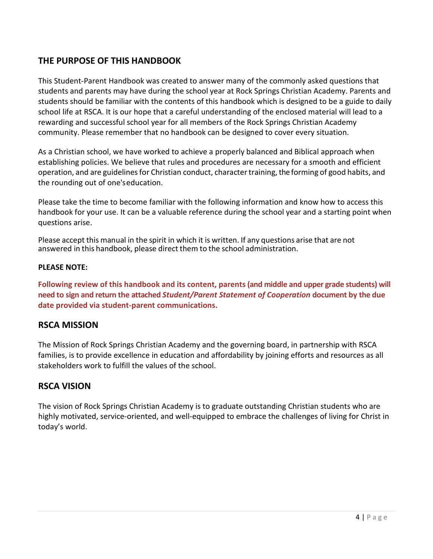# **THE PURPOSE OF THIS HANDBOOK**

This Student-Parent Handbook was created to answer many of the commonly asked questions that students and parents may have during the school year at Rock Springs Christian Academy. Parents and students should be familiar with the contents of this handbook which is designed to be a guide to daily school life at RSCA. It is our hope that a careful understanding of the enclosed material will lead to a rewarding and successful school year for all members of the Rock Springs Christian Academy community. Please remember that no handbook can be designed to cover every situation.

As a Christian school, we have worked to achieve a properly balanced and Biblical approach when establishing policies. We believe that rules and procedures are necessary for a smooth and efficient operation, and are guidelines for Christian conduct, character training, the forming of good habits, and the rounding out of one'seducation.

Please take the time to become familiar with the following information and know how to access this handbook for your use. It can be a valuable reference during the school year and a starting point when questions arise.

Please accept this manual in the spirit in which it is written. If any questions arise that are not answered in this handbook, please direct them to the school administration.

#### **PLEASE NOTE:**

**Following review of this handbook and its content, parents (and middle and upper grade students) will need to sign and return the attached** *Student/Parent Statement of Cooperation* **document by the due date provided via student-parent communications.**

# **RSCA MISSION**

The Mission of Rock Springs Christian Academy and the governing board, in partnership with RSCA families, is to provide excellence in education and affordability by joining efforts and resources as all stakeholders work to fulfill the values of the school.

# **RSCA VISION**

The vision of Rock Springs Christian Academy is to graduate outstanding Christian students who are highly motivated, service-oriented, and well-equipped to embrace the challenges of living for Christ in today's world.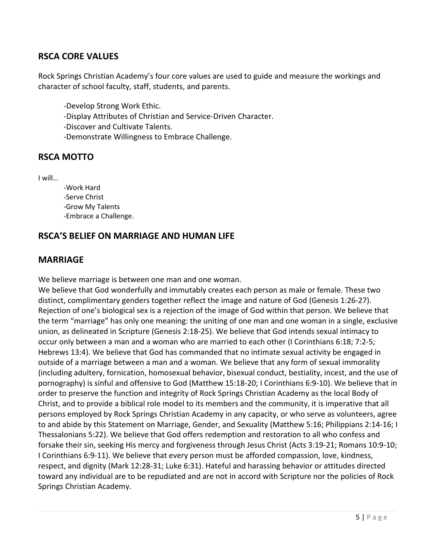# **RSCA CORE VALUES**

Rock Springs Christian Academy's four core values are used to guide and measure the workings and character of school faculty, staff, students, and parents.

- -Develop Strong Work Ethic.
- -Display Attributes of Christian and Service-Driven Character.
- -Discover and Cultivate Talents.
- -Demonstrate Willingness to Embrace Challenge.

#### **RSCA MOTTO**

I will…

-Work Hard -Serve Christ -Grow My Talents -Embrace a Challenge.

#### **RSCA'S BELIEF ON MARRIAGE AND HUMAN LIFE**

#### **MARRIAGE**

We believe marriage is between one man and one woman.

We believe that God wonderfully and immutably creates each person as male or female. These two distinct, complimentary genders together reflect the image and nature of God (Genesis 1:26-27). Rejection of one's biological sex is a rejection of the image of God within that person. We believe that the term "marriage" has only one meaning: the uniting of one man and one woman in a single, exclusive union, as delineated in Scripture (Genesis 2:18-25). We believe that God intends sexual intimacy to occur only between a man and a woman who are married to each other (I Corinthians 6:18; 7:2-5; Hebrews 13:4). We believe that God has commanded that no intimate sexual activity be engaged in outside of a marriage between a man and a woman. We believe that any form of sexual immorality (including adultery, fornication, homosexual behavior, bisexual conduct, bestiality, incest, and the use of pornography) is sinful and offensive to God (Matthew 15:18-20; I Corinthians 6:9-10). We believe that in order to preserve the function and integrity of Rock Springs Christian Academy as the local Body of Christ, and to provide a biblical role model to its members and the community, it is imperative that all persons employed by Rock Springs Christian Academy in any capacity, or who serve as volunteers, agree to and abide by this Statement on Marriage, Gender, and Sexuality (Matthew 5:16; Philippians 2:14-16; I Thessalonians 5:22). We believe that God offers redemption and restoration to all who confess and forsake their sin, seeking His mercy and forgiveness through Jesus Christ (Acts 3:19-21; Romans 10:9-10; I Corinthians 6:9-11). We believe that every person must be afforded compassion, love, kindness, respect, and dignity (Mark 12:28-31; Luke 6:31). Hateful and harassing behavior or attitudes directed toward any individual are to be repudiated and are not in accord with Scripture nor the policies of Rock Springs Christian Academy.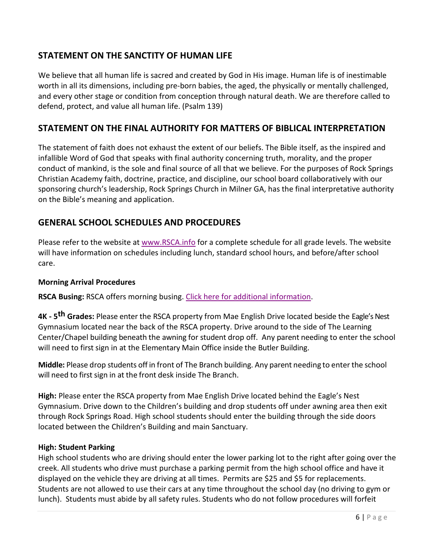# **STATEMENT ON THE SANCTITY OF HUMAN LIFE**

We believe that all human life is sacred and created by God in His image. Human life is of inestimable worth in all its dimensions, including pre-born babies, the aged, the physically or mentally challenged, and every other stage or condition from conception through natural death. We are therefore called to defend, protect, and value all human life. (Psalm 139)

# **STATEMENT ON THE FINAL AUTHORITY FOR MATTERS OF BIBLICAL INTERPRETATION**

The statement of faith does not exhaust the extent of our beliefs. The Bible itself, as the inspired and infallible Word of God that speaks with final authority concerning truth, morality, and the proper conduct of mankind, is the sole and final source of all that we believe. For the purposes of Rock Springs Christian Academy faith, doctrine, practice, and discipline, our school board collaboratively with our sponsoring church's leadership, Rock Springs Church in Milner GA, has the final interpretative authority on the Bible's meaning and application.

# **GENERAL SCHOOL SCHEDULES AND PROCEDURES**

Please refer to the website at [www.RSCA.info](http://www.rsca.info/) for a complete schedule for all grade levels. The website will have information on schedules including lunch, standard school hours, and before/after school care.

#### **Morning Arrival Procedures**

**RSCA Busing:** RSCA offers morning busing[. Click here for additional information.](http://www.rockspringschristianacademy.com/parents/busing-program.cfm)

**4K - 5th Grades:** Please enter the RSCA property from Mae English Drive located beside the Eagle's Nest Gymnasium located near the back of the RSCA property. Drive around to the side of The Learning Center/Chapel building beneath the awning for student drop off. Any parent needing to enter the school will need to first sign in at the Elementary Main Office inside the Butler Building.

**Middle:** Please drop students off in front of The Branch building. Any parent needing to enterthe school will need to first sign in at the front desk inside The Branch.

**High:** Please enter the RSCA property from Mae English Drive located behind the Eagle's Nest Gymnasium. Drive down to the Children's building and drop students off under awning area then exit through Rock Springs Road. High school students should enter the building through the side doors located between the Children's Building and main Sanctuary.

#### **High: Student Parking**

High school students who are driving should enter the lower parking lot to the right after going over the creek. All students who drive must purchase a parking permit from the high school office and have it displayed on the vehicle they are driving at all times. Permits are \$25 and \$5 for replacements. Students are not allowed to use their cars at any time throughout the school day (no driving to gym or lunch). Students must abide by all safety rules. Students who do not follow procedures will forfeit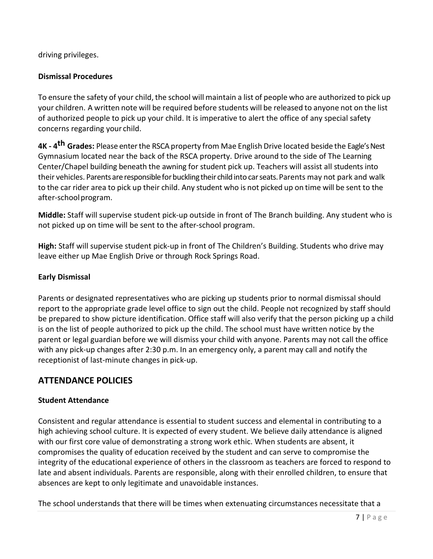driving privileges.

#### **Dismissal Procedures**

To ensure the safety of your child, the school will maintain a list of people who are authorized to pick up your children. A written note will be required before students will be released to anyone not on the list of authorized people to pick up your child. It is imperative to alert the office of any special safety concerns regarding your child.

**4K - 4<sup>th</sup> Grades:** Please enter the RSCA property from Mae English Drive located beside the Eagle's Nest Gymnasium located near the back of the RSCA property. Drive around to the side of The Learning Center/Chapel building beneath the awning for student pick up. Teachers will assist all students into their vehicles. Parents are responsible for buckling their child into car seats. Parents may not park and walk to the car rider area to pick up their child. Any student who is not picked up on time will be sent to the after-schoolprogram.

**Middle:** Staff will supervise student pick-up outside in front of The Branch building. Any student who is not picked up on time will be sent to the after-school program.

**High:** Staff will supervise student pick-up in front of The Children's Building. Students who drive may leave either up Mae English Drive or through Rock Springs Road.

#### **Early Dismissal**

Parents or designated representatives who are picking up students prior to normal dismissal should report to the appropriate grade level office to sign out the child. People not recognized by staff should be prepared to show picture identification. Office staff will also verify that the person picking up a child is on the list of people authorized to pick up the child. The school must have written notice by the parent or legal guardian before we will dismiss your child with anyone. Parents may not call the office with any pick-up changes after 2:30 p.m. In an emergency only, a parent may call and notify the receptionist of last-minute changes in pick-up.

# **ATTENDANCE POLICIES**

#### **Student Attendance**

Consistent and regular attendance is essential to student success and elemental in contributing to a high achieving school culture. It is expected of every student. We believe daily attendance is aligned with our first core value of demonstrating a strong work ethic. When students are absent, it compromises the quality of education received by the student and can serve to compromise the integrity of the educational experience of others in the classroom as teachers are forced to respond to late and absent individuals. Parents are responsible, along with their enrolled children, to ensure that absences are kept to only legitimate and unavoidable instances.

The school understands that there will be times when extenuating circumstances necessitate that a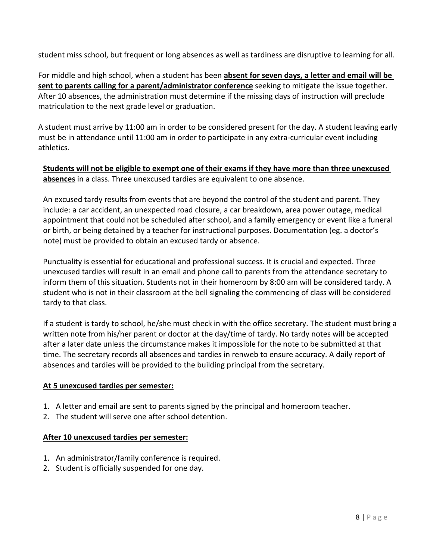student miss school, but frequent or long absences as well as tardiness are disruptive to learning for all.

For middle and high school, when a student has been **absent for seven days, a letter and email will be sent to parents calling for a parent/administrator conference** seeking to mitigate the issue together. After 10 absences, the administration must determine if the missing days of instruction will preclude matriculation to the next grade level or graduation.

A student must arrive by 11:00 am in order to be considered present for the day. A student leaving early must be in attendance until 11:00 am in order to participate in any extra-curricular event including athletics.

**Students will not be eligible to exempt one of their exams if they have more than three unexcused absences** in a class. Three unexcused tardies are equivalent to one absence.

An excused tardy results from events that are beyond the control of the student and parent. They include: a car accident, an unexpected road closure, a car breakdown, area power outage, medical appointment that could not be scheduled after school, and a family emergency or event like a funeral or birth, or being detained by a teacher for instructional purposes. Documentation (eg. a doctor's note) must be provided to obtain an excused tardy or absence.

Punctuality is essential for educational and professional success. It is crucial and expected. Three unexcused tardies will result in an email and phone call to parents from the attendance secretary to inform them of this situation. Students not in their homeroom by 8:00 am will be considered tardy. A student who is not in their classroom at the bell signaling the commencing of class will be considered tardy to that class.

If a student is tardy to school, he/she must check in with the office secretary. The student must bring a written note from his/her parent or doctor at the day/time of tardy. No tardy notes will be accepted after a later date unless the circumstance makes it impossible for the note to be submitted at that time. The secretary records all absences and tardies in renweb to ensure accuracy. A daily report of absences and tardies will be provided to the building principal from the secretary.

#### **At 5 unexcused tardies per semester:**

- 1. A letter and email are sent to parents signed by the principal and homeroom teacher.
- 2. The student will serve one after school detention.

#### **After 10 unexcused tardies per semester:**

- 1. An administrator/family conference is required.
- 2. Student is officially suspended for one day.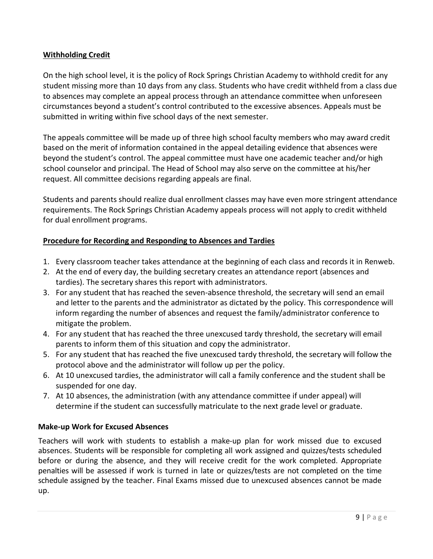#### **Withholding Credit**

On the high school level, it is the policy of Rock Springs Christian Academy to withhold credit for any student missing more than 10 days from any class. Students who have credit withheld from a class due to absences may complete an appeal process through an attendance committee when unforeseen circumstances beyond a student's control contributed to the excessive absences. Appeals must be submitted in writing within five school days of the next semester.

The appeals committee will be made up of three high school faculty members who may award credit based on the merit of information contained in the appeal detailing evidence that absences were beyond the student's control. The appeal committee must have one academic teacher and/or high school counselor and principal. The Head of School may also serve on the committee at his/her request. All committee decisions regarding appeals are final.

Students and parents should realize dual enrollment classes may have even more stringent attendance requirements. The Rock Springs Christian Academy appeals process will not apply to credit withheld for dual enrollment programs.

#### **Procedure for Recording and Responding to Absences and Tardies**

- 1. Every classroom teacher takes attendance at the beginning of each class and records it in Renweb.
- 2. At the end of every day, the building secretary creates an attendance report (absences and tardies). The secretary shares this report with administrators.
- 3. For any student that has reached the seven-absence threshold, the secretary will send an email and letter to the parents and the administrator as dictated by the policy. This correspondence will inform regarding the number of absences and request the family/administrator conference to mitigate the problem.
- 4. For any student that has reached the three unexcused tardy threshold, the secretary will email parents to inform them of this situation and copy the administrator.
- 5. For any student that has reached the five unexcused tardy threshold, the secretary will follow the protocol above and the administrator will follow up per the policy.
- 6. At 10 unexcused tardies, the administrator will call a family conference and the student shall be suspended for one day.
- 7. At 10 absences, the administration (with any attendance committee if under appeal) will determine if the student can successfully matriculate to the next grade level or graduate.

#### **Make-up Work for Excused Absences**

Teachers will work with students to establish a make-up plan for work missed due to excused absences. Students will be responsible for completing all work assigned and quizzes/tests scheduled before or during the absence, and they will receive credit for the work completed. Appropriate penalties will be assessed if work is turned in late or quizzes/tests are not completed on the time schedule assigned by the teacher. Final Exams missed due to unexcused absences cannot be made up.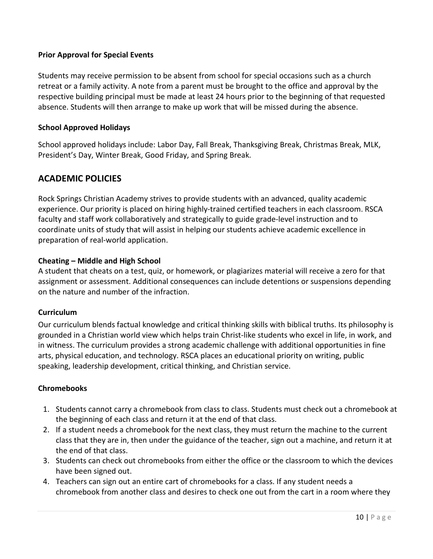#### **Prior Approval for Special Events**

Students may receive permission to be absent from school for special occasions such as a church retreat or a family activity. A note from a parent must be brought to the office and approval by the respective building principal must be made at least 24 hours prior to the beginning of that requested absence. Students will then arrange to make up work that will be missed during the absence.

#### **School Approved Holidays**

School approved holidays include: Labor Day, Fall Break, Thanksgiving Break, Christmas Break, MLK, President's Day, Winter Break, Good Friday, and Spring Break.

# **ACADEMIC POLICIES**

Rock Springs Christian Academy strives to provide students with an advanced, quality academic experience. Our priority is placed on hiring highly-trained certified teachers in each classroom. RSCA faculty and staff work collaboratively and strategically to guide grade-level instruction and to coordinate units of study that will assist in helping our students achieve academic excellence in preparation of real-world application.

#### **Cheating – Middle and High School**

A student that cheats on a test, quiz, or homework, or plagiarizes material will receive a zero for that assignment or assessment. Additional consequences can include detentions or suspensions depending on the nature and number of the infraction.

#### **Curriculum**

Our curriculum blends factual knowledge and critical thinking skills with biblical truths. Its philosophy is grounded in a Christian world view which helps train Christ-like students who excel in life, in work, and in witness. The curriculum provides a strong academic challenge with additional opportunities in fine arts, physical education, and technology. RSCA places an educational priority on writing, public speaking, leadership development, critical thinking, and Christian service.

#### **Chromebooks**

- 1. Students cannot carry a chromebook from class to class. Students must check out a chromebook at the beginning of each class and return it at the end of that class.
- 2. If a student needs a chromebook for the next class, they must return the machine to the current class that they are in, then under the guidance of the teacher, sign out a machine, and return it at the end of that class.
- 3. Students can check out chromebooks from either the office or the classroom to which the devices have been signed out.
- 4. Teachers can sign out an entire cart of chromebooks for a class. If any student needs a chromebook from another class and desires to check one out from the cart in a room where they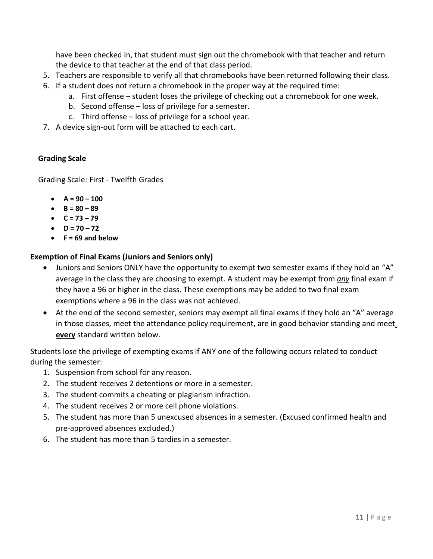have been checked in, that student must sign out the chromebook with that teacher and return the device to that teacher at the end of that class period.

- 5. Teachers are responsible to verify all that chromebooks have been returned following their class.
- 6. If a student does not return a chromebook in the proper way at the required time:
	- a. First offense student loses the privilege of checking out a chromebook for one week.
	- b. Second offense loss of privilege for a semester.
	- c. Third offense loss of privilege for a school year.
- 7. A device sign-out form will be attached to each cart.

#### **Grading Scale**

Grading Scale: First - Twelfth Grades

- **A = 90 – 100**
- **B = 80 – 89**
- **C = 73 – 79**
- **D = 70 – 72**
- **F = 69 and below**

#### **Exemption of Final Exams (Juniors and Seniors only)**

- Juniors and Seniors ONLY have the opportunity to exempt two semester exams if they hold an "A" average in the class they are choosing to exempt. A student may be exempt from *any* final exam if they have a 96 or higher in the class. These exemptions may be added to two final exam exemptions where a 96 in the class was not achieved.
- At the end of the second semester, seniors may exempt all final exams if they hold an "A" average in those classes, meet the attendance policy requirement, are in good behavior standing and meet **every** standard written below.

Students lose the privilege of exempting exams if ANY one of the following occurs related to conduct during the semester:

- 1. Suspension from school for any reason.
- 2. The student receives 2 detentions or more in a semester.
- 3. The student commits a cheating or plagiarism infraction.
- 4. The student receives 2 or more cell phone violations.
- 5. The student has more than 5 unexcused absences in a semester. (Excused confirmed health and pre-approved absences excluded.)
- 6. The student has more than 5 tardies in a semester.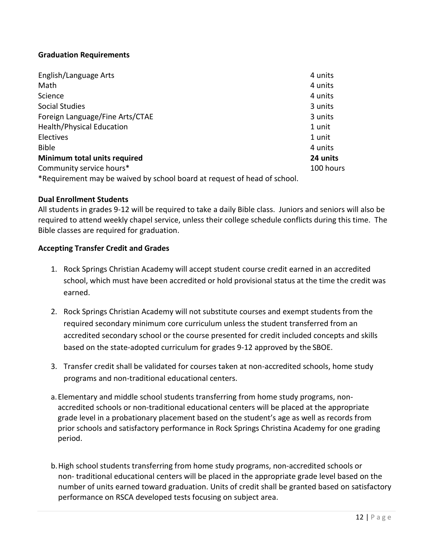#### **Graduation Requirements**

| English/Language Arts                                                    | 4 units   |
|--------------------------------------------------------------------------|-----------|
| Math                                                                     | 4 units   |
| Science                                                                  | 4 units   |
| Social Studies                                                           | 3 units   |
| Foreign Language/Fine Arts/CTAE                                          | 3 units   |
| <b>Health/Physical Education</b>                                         | 1 unit    |
| <b>Electives</b>                                                         | 1 unit    |
| <b>Bible</b>                                                             | 4 units   |
| Minimum total units required                                             | 24 units  |
| Community service hours*                                                 | 100 hours |
| *Requirement may be waived by school board at request of head of school. |           |

 **Dual Enrollment Students**

 All students in grades 9-12 will be required to take a daily Bible class. Juniors and seniors will also be required to attend weekly chapel service, unless their college schedule conflicts during this time. The Bible classes are required for graduation.

#### **Accepting Transfer Credit and Grades**

- 1. Rock Springs Christian Academy will accept student course credit earned in an accredited school, which must have been accredited or hold provisional status at the time the credit was earned.
- 2. Rock Springs Christian Academy will not substitute courses and exempt students from the required secondary minimum core curriculum unless the student transferred from an accredited secondary school or the course presented for credit included concepts and skills based on the state-adopted curriculum for grades 9-12 approved by the SBOE.
- 3. Transfer credit shall be validated for courses taken at non-accredited schools, home study programs and non-traditional educational centers.
- a.Elementary and middle school students transferring from home study programs, nonaccredited schools or non-traditional educational centers will be placed at the appropriate grade level in a probationary placement based on the student's age as well as records from prior schools and satisfactory performance in Rock Springs Christina Academy for one grading period.
- b.High school students transferring from home study programs, non-accredited schools or non- traditional educational centers will be placed in the appropriate grade level based on the number of units earned toward graduation. Units of credit shall be granted based on satisfactory performance on RSCA developed tests focusing on subject area.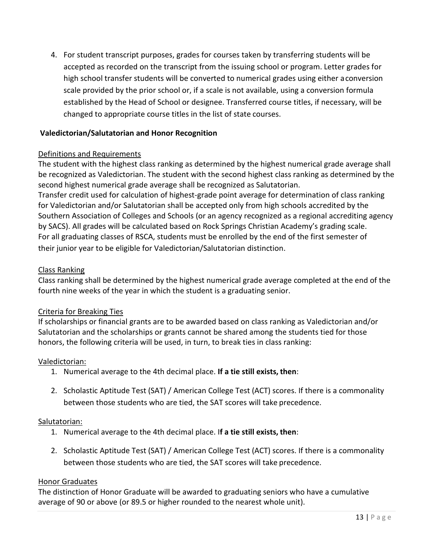4. For student transcript purposes, grades for courses taken by transferring students will be accepted as recorded on the transcript from the issuing school or program. Letter grades for high school transfer students will be converted to numerical grades using either aconversion scale provided by the prior school or, if a scale is not available, using a conversion formula established by the Head of School or designee. Transferred course titles, if necessary, will be changed to appropriate course titles in the list of state courses.

#### **Valedictorian/Salutatorian and Honor Recognition**

#### Definitions and Requirements

The student with the highest class ranking as determined by the highest numerical grade average shall be recognized as Valedictorian. The student with the second highest class ranking as determined by the second highest numerical grade average shall be recognized as Salutatorian. Transfer credit used for calculation of highest-grade point average for determination of class ranking for Valedictorian and/or Salutatorian shall be accepted only from high schools accredited by the Southern Association of Colleges and Schools (or an agency recognized as a regional accrediting agency by SACS). All grades will be calculated based on Rock Springs Christian Academy's grading scale. For all graduating classes of RSCA, students must be enrolled by the end of the first semester of their junior year to be eligible for Valedictorian/Salutatorian distinction.

#### Class Ranking

Class ranking shall be determined by the highest numerical grade average completed at the end of the fourth nine weeks of the year in which the student is a graduating senior.

#### Criteria for Breaking Ties

If scholarships or financial grants are to be awarded based on class ranking as Valedictorian and/or Salutatorian and the scholarships or grants cannot be shared among the students tied for those honors, the following criteria will be used, in turn, to break ties in class ranking:

#### Valedictorian:

- 1. Numerical average to the 4th decimal place. **If a tie still exists, then**:
- 2. Scholastic Aptitude Test (SAT) / American College Test (ACT) scores. If there is a commonality between those students who are tied, the SAT scores will take precedence.

#### Salutatorian:

- 1. Numerical average to the 4th decimal place. I**f a tie still exists, then**:
- 2. Scholastic Aptitude Test (SAT) / American College Test (ACT) scores. If there is a commonality between those students who are tied, the SAT scores will take precedence.

#### Honor Graduates

The distinction of Honor Graduate will be awarded to graduating seniors who have a cumulative average of 90 or above (or 89.5 or higher rounded to the nearest whole unit).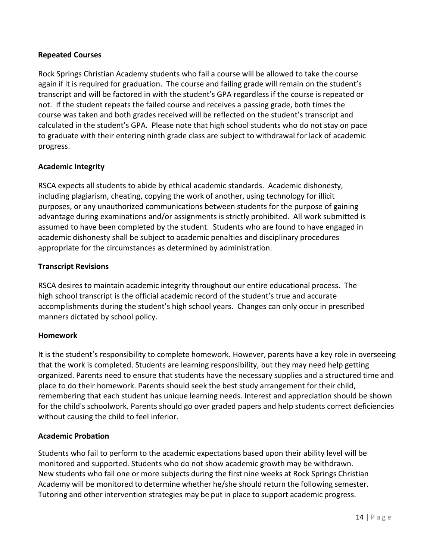#### **Repeated Courses**

Rock Springs Christian Academy students who fail a course will be allowed to take the course again if it is required for graduation. The course and failing grade will remain on the student's transcript and will be factored in with the student's GPA regardless if the course is repeated or not. If the student repeats the failed course and receives a passing grade, both times the course was taken and both grades received will be reflected on the student's transcript and calculated in the student's GPA. Please note that high school students who do not stay on pace to graduate with their entering ninth grade class are subject to withdrawal for lack of academic progress.

#### **Academic Integrity**

RSCA expects all students to abide by ethical academic standards. Academic dishonesty, including plagiarism, cheating, copying the work of another, using technology for illicit purposes, or any unauthorized communications between students for the purpose of gaining advantage during examinations and/or assignments is strictly prohibited. All work submitted is assumed to have been completed by the student. Students who are found to have engaged in academic dishonesty shall be subject to academic penalties and disciplinary procedures appropriate for the circumstances as determined by administration.

#### **Transcript Revisions**

RSCA desires to maintain academic integrity throughout our entire educational process. The high school transcript is the official academic record of the student's true and accurate accomplishments during the student's high school years. Changes can only occur in prescribed manners dictated by school policy.

#### **Homework**

It is the student's responsibility to complete homework. However, parents have a key role in overseeing that the work is completed. Students are learning responsibility, but they may need help getting organized. Parents need to ensure that students have the necessary supplies and a structured time and place to do their homework. Parents should seek the best study arrangement for their child, remembering that each student has unique learning needs. Interest and appreciation should be shown for the child's schoolwork. Parents should go over graded papers and help students correct deficiencies without causing the child to feel inferior.

#### **Academic Probation**

Students who fail to perform to the academic expectations based upon their ability level will be monitored and supported. Students who do not show academic growth may be withdrawn. New students who fail one or more subjects during the first nine weeks at Rock Springs Christian Academy will be monitored to determine whether he/she should return the following semester. Tutoring and other intervention strategies may be put in place to support academic progress.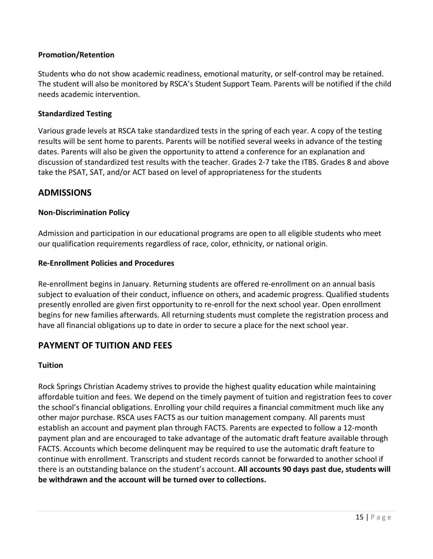#### **Promotion/Retention**

Students who do not show academic readiness, emotional maturity, or self-control may be retained. The student will also be monitored by RSCA's Student Support Team. Parents will be notified if the child needs academic intervention.

#### **Standardized Testing**

Various grade levels at RSCA take standardized tests in the spring of each year. A copy of the testing results will be sent home to parents. Parents will be notified several weeks in advance of the testing dates. Parents will also be given the opportunity to attend a conference for an explanation and discussion of standardized test results with the teacher. Grades 2-7 take the ITBS. Grades 8 and above take the PSAT, SAT, and/or ACT based on level of appropriateness for the students

#### **ADMISSIONS**

#### **Non-Discrimination Policy**

Admission and participation in our educational programs are open to all eligible students who meet our qualification requirements regardless of race, color, ethnicity, or national origin.

#### **Re-Enrollment Policies and Procedures**

Re-enrollment begins in January. Returning students are offered re-enrollment on an annual basis subject to evaluation of their conduct, influence on others, and academic progress. Qualified students presently enrolled are given first opportunity to re-enroll for the next school year. Open enrollment begins for new families afterwards. All returning students must complete the registration process and have all financial obligations up to date in order to secure a place for the next school year.

# **PAYMENT OF TUITION AND FEES**

#### **Tuition**

Rock Springs Christian Academy strives to provide the highest quality education while maintaining affordable tuition and fees. We depend on the timely payment of tuition and registration fees to cover the school's financial obligations. Enrolling your child requires a financial commitment much like any other major purchase. RSCA uses FACTS as our tuition management company. All parents must establish an account and payment plan through FACTS. Parents are expected to follow a 12-month payment plan and are encouraged to take advantage of the automatic draft feature available through FACTS. Accounts which become delinquent may be required to use the automatic draft feature to continue with enrollment. Transcripts and student records cannot be forwarded to another school if there is an outstanding balance on the student's account. **All accounts 90 days past due, students will be withdrawn and the account will be turned over to collections.**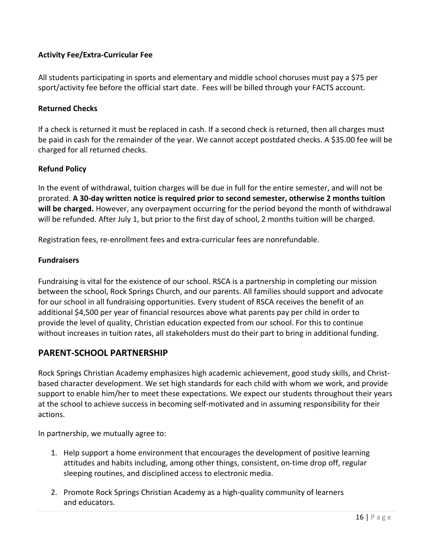#### **Activity Fee/Extra-Curricular Fee**

All students participating in sports and elementary and middle school choruses must pay a \$75 per sport/activity fee before the official start date. Fees will be billed through your FACTS account.

#### **Returned Checks**

If a check is returned it must be replaced in cash. If a second check is returned, then all charges must be paid in cash for the remainder of the year. We cannot accept postdated checks. A \$35.00 fee will be charged for all returned checks.

#### **Refund Policy**

In the event of withdrawal, tuition charges will be due in full for the entire semester, and will not be prorated. **A 30-day written notice is required prior to second semester, otherwise 2 months tuition will be charged.** However, any overpayment occurring for the period beyond the month of withdrawal will be refunded. After July 1, but prior to the first day of school, 2 months tuition will be charged.

Registration fees, re-enrollment fees and extra-curricular fees are nonrefundable.

#### **Fundraisers**

Fundraising is vital for the existence of our school. RSCA is a partnership in completing our mission between the school, Rock Springs Church, and our parents. All families should support and advocate for our school in all fundraising opportunities. Every student of RSCA receives the benefit of an additional \$4,500 per year of financial resources above what parents pay per child in order to provide the level of quality, Christian education expected from our school. For this to continue without increases in tuition rates, all stakeholders must do their part to bring in additional funding.

# **PARENT-SCHOOL PARTNERSHIP**

Rock Springs Christian Academy emphasizes high academic achievement, good study skills, and Christbased character development. We set high standards for each child with whom we work, and provide support to enable him/her to meet these expectations. We expect our students throughout their years at the school to achieve success in becoming self-motivated and in assuming responsibility for their actions.

In partnership, we mutually agree to:

- 1. Help support a home environment that encourages the development of positive learning attitudes and habits including, among other things, consistent, on-time drop off, regular sleeping routines, and disciplined access to electronic media.
- 2. Promote Rock Springs Christian Academy as a high-quality community of learners and educators.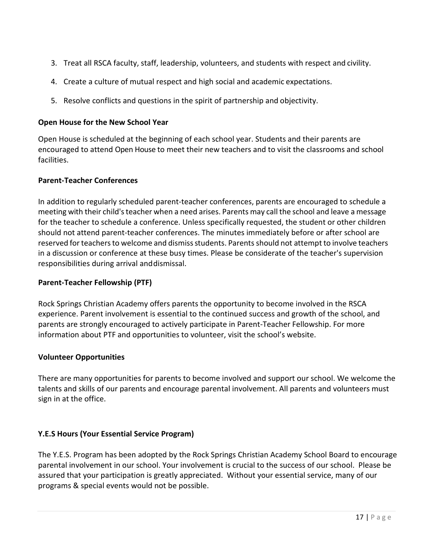- 3. Treat all RSCA faculty, staff, leadership, volunteers, and students with respect and civility.
- 4. Create a culture of mutual respect and high social and academic expectations.
- 5. Resolve conflicts and questions in the spirit of partnership and objectivity.

#### **Open House for the New School Year**

Open House is scheduled at the beginning of each school year. Students and their parents are encouraged to attend Open House to meet their new teachers and to visit the classrooms and school facilities.

#### **Parent-Teacher Conferences**

In addition to regularly scheduled parent-teacher conferences, parents are encouraged to schedule a meeting with their child'steacher when a need arises. Parents may call the school and leave a message for the teacher to schedule a conference. Unless specifically requested, the student or other children should not attend parent-teacher conferences. The minutes immediately before or after school are reserved for teachers to welcome and dismiss students. Parents should not attempt to involve teachers in a discussion or conference at these busy times. Please be considerate of the teacher's supervision responsibilities during arrival anddismissal.

#### **Parent-Teacher Fellowship (PTF)**

Rock Springs Christian Academy offers parents the opportunity to become involved in the RSCA experience. Parent involvement is essential to the continued success and growth of the school, and parents are strongly encouraged to actively participate in Parent-Teacher Fellowship. For more information about PTF and opportunities to volunteer, visit the school's website.

#### **Volunteer Opportunities**

There are many opportunities for parents to become involved and support our school. We welcome the talents and skills of our parents and encourage parental involvement. All parents and volunteers must sign in at the office.

#### **Y.E.S Hours (Your Essential Service Program)**

The Y.E.S. Program has been adopted by the Rock Springs Christian Academy School Board to encourage parental involvement in our school. Your involvement is crucial to the success of our school. Please be assured that your participation is greatly appreciated. Without your essential service, many of our programs & special events would not be possible.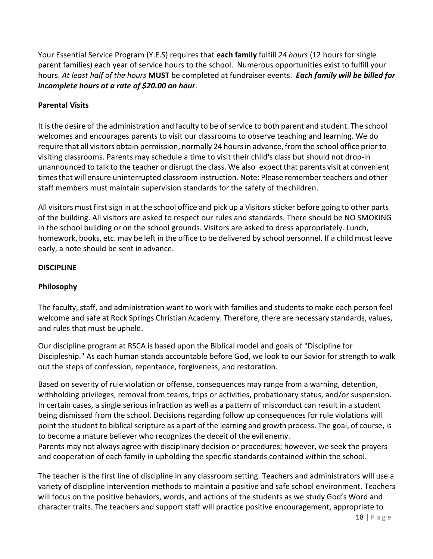Your Essential Service Program (Y.E.S) requires that **each family** fulfill *24 hours* (12 hours for single parent families) each year of service hours to the school. Numerous opportunities exist to fulfill your hours. *At least half of the hours* **MUST** be completed at fundraiser events. *Each family will be billed for incomplete hours at a rate of \$20.00 an hour*.

#### **Parental Visits**

It isthe desire of the administration and faculty to be of service to both parent and student. The school welcomes and encourages parents to visit our classrooms to observe teaching and learning. We do require that all visitors obtain permission, normally 24 hoursin advance, from the school office prior to visiting classrooms. Parents may schedule a time to visit their child's class but should not drop-in unannounced to talk to the teacher or disrupt the class. We also expect that parents visit at convenient timesthat will ensure uninterrupted classroom instruction. Note: Please remember teachers and other staff members must maintain supervision standards for the safety of thechildren.

All visitors must first sign in at the school office and pick up a Visitorssticker before going to other parts of the building. All visitors are asked to respect our rules and standards. There should be NO SMOKING in the school building or on the school grounds. Visitors are asked to dress appropriately. Lunch, homework, books, etc. may be left in the office to be delivered by school personnel. If a child must leave early, a note should be sent in advance.

#### **DISCIPLINE**

#### **Philosophy**

The faculty, staff, and administration want to work with families and students to make each person feel welcome and safe at Rock Springs Christian Academy. Therefore, there are necessary standards, values, and rules that must be upheld.

Our discipline program at RSCA is based upon the Biblical model and goals of "Discipline for Discipleship." As each human stands accountable before God, we look to our Savior for strength to walk out the steps of confession, repentance, forgiveness, and restoration.

Based on severity of rule violation or offense, consequences may range from a warning, detention, withholding privileges, removal from teams, trips or activities, probationary status, and/or suspension. In certain cases, a single serious infraction as well as a pattern of misconduct can result in a student being dismissed from the school. Decisions regarding follow up consequences for rule violations will point the student to biblical scripture as a part of the learning and growth process. The goal, of course, is to become a mature believer who recognizesthe deceit of the evil enemy.

Parents may not always agree with disciplinary decision or procedures; however, we seek the prayers and cooperation of each family in upholding the specific standards contained within the school.

The teacher is the first line of discipline in any classroom setting. Teachers and administrators will use a variety of discipline intervention methods to maintain a positive and safe school environment. Teachers will focus on the positive behaviors, words, and actions of the students as we study God's Word and character traits. The teachers and support staff will practice positive encouragement, appropriate to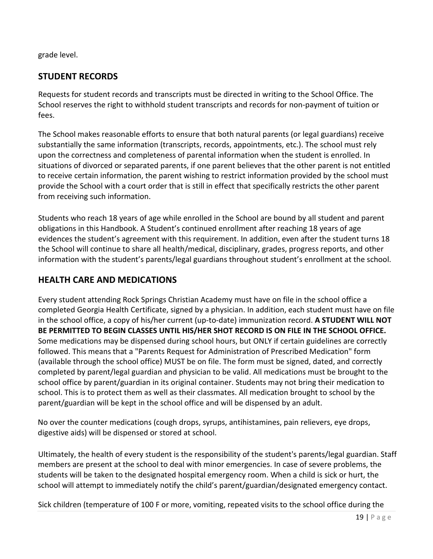grade level.

# **STUDENT RECORDS**

Requests for student records and transcripts must be directed in writing to the School Office. The School reserves the right to withhold student transcripts and records for non-payment of tuition or fees.

The School makes reasonable efforts to ensure that both natural parents (or legal guardians) receive substantially the same information (transcripts, records, appointments, etc.). The school must rely upon the correctness and completeness of parental information when the student is enrolled. In situations of divorced or separated parents, if one parent believes that the other parent is not entitled to receive certain information, the parent wishing to restrict information provided by the school must provide the School with a court order that is still in effect that specifically restricts the other parent from receiving such information.

Students who reach 18 years of age while enrolled in the School are bound by all student and parent obligations in this Handbook. A Student's continued enrollment after reaching 18 years of age evidences the student's agreement with this requirement. In addition, even after the student turns 18 the School will continue to share all health/medical, disciplinary, grades, progress reports, and other information with the student's parents/legal guardians throughout student's enrollment at the school.

# **HEALTH CARE AND MEDICATIONS**

Every student attending Rock Springs Christian Academy must have on file in the school office a completed Georgia Health Certificate, signed by a physician. In addition, each student must have on file in the school office, a copy of his/her current (up-to-date) immunization record. **A STUDENT WILL NOT BE PERMITTED TO BEGIN CLASSES UNTIL HIS/HER SHOT RECORD IS ON FILE IN THE SCHOOL OFFICE.** Some medications may be dispensed during school hours, but ONLY if certain guidelines are correctly followed. This means that a "Parents Request for Administration of Prescribed Medication" form (available through the school office) MUST be on file. The form must be signed, dated, and correctly completed by parent/legal guardian and physician to be valid. All medications must be brought to the school office by parent/guardian in its original container. Students may not bring their medication to school. This is to protect them as well as their classmates. All medication brought to school by the parent/guardian will be kept in the school office and will be dispensed by an adult.

No over the counter medications (cough drops, syrups, antihistamines, pain relievers, eye drops, digestive aids) will be dispensed or stored at school.

Ultimately, the health of every student is the responsibility of the student's parents/legal guardian. Staff members are present at the school to deal with minor emergencies. In case of severe problems, the students will be taken to the designated hospital emergency room. When a child is sick or hurt, the school will attempt to immediately notify the child's parent/guardian/designated emergency contact.

Sick children (temperature of 100 F or more, vomiting, repeated visits to the school office during the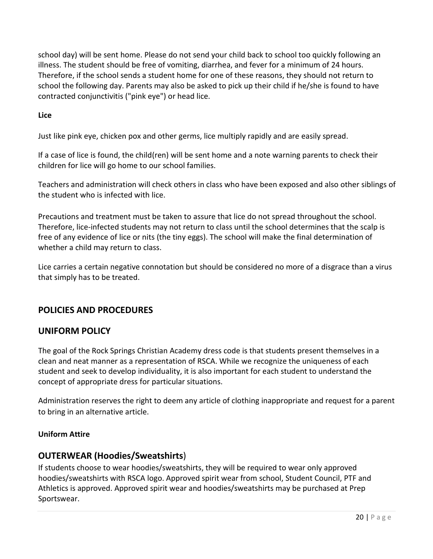school day) will be sent home. Please do not send your child back to school too quickly following an illness. The student should be free of vomiting, diarrhea, and fever for a minimum of 24 hours. Therefore, if the school sends a student home for one of these reasons, they should not return to school the following day. Parents may also be asked to pick up their child if he/she is found to have contracted conjunctivitis ("pink eye") or head lice.

#### **Lice**

Just like pink eye, chicken pox and other germs, lice multiply rapidly and are easily spread.

If a case of lice is found, the child(ren) will be sent home and a note warning parents to check their children for lice will go home to our school families.

Teachers and administration will check others in class who have been exposed and also other siblings of the student who is infected with lice.

Precautions and treatment must be taken to assure that lice do not spread throughout the school. Therefore, lice-infected students may not return to class until the school determines that the scalp is free of any evidence of lice or nits (the tiny eggs). The school will make the final determination of whether a child may return to class.

Lice carries a certain negative connotation but should be considered no more of a disgrace than a virus that simply has to be treated.

# **POLICIES AND PROCEDURES**

# **UNIFORM POLICY**

The goal of the Rock Springs Christian Academy dress code is that students present themselves in a clean and neat manner as a representation of RSCA. While we recognize the uniqueness of each student and seek to develop individuality, it is also important for each student to understand the concept of appropriate dress for particular situations.

Administration reserves the right to deem any article of clothing inappropriate and request for a parent to bring in an alternative article.

#### **Uniform Attire**

# **OUTERWEAR (Hoodies/Sweatshirts**)

If students choose to wear hoodies/sweatshirts, they will be required to wear only approved hoodies/sweatshirts with RSCA logo. Approved spirit wear from school, Student Council, PTF and Athletics is approved. Approved spirit wear and hoodies/sweatshirts may be purchased at Prep Sportswear.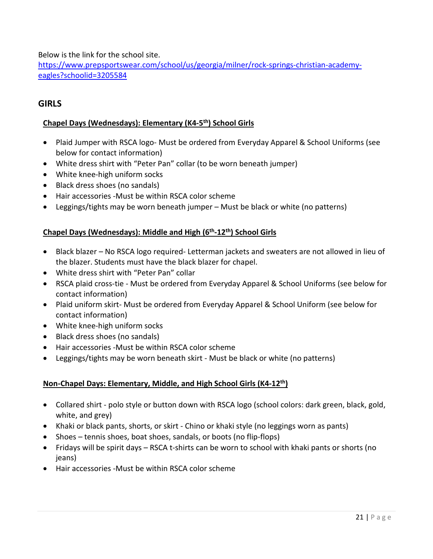Below is the link for the school site.

[https://www.prepsportswear.com/school/us/georgia/milner/rock-springs-christian-academy](https://www.prepsportswear.com/school/us/georgia/milner/rock-springs-christian-academy-eagles?schoolid=3205584)[eagles?schoolid=3205584](https://www.prepsportswear.com/school/us/georgia/milner/rock-springs-christian-academy-eagles?schoolid=3205584)

# **GIRLS**

#### **Chapel Days (Wednesdays): Elementary (K4-5th) School Girls**

- Plaid Jumper with RSCA logo- Must be ordered from Everyday Apparel & School Uniforms (see below for contact information)
- White dress shirt with "Peter Pan" collar (to be worn beneath jumper)
- White knee-high uniform socks
- Black dress shoes (no sandals)
- Hair accessories -Must be within RSCA color scheme
- Leggings/tights may be worn beneath jumper Must be black or white (no patterns)

#### **Chapel Days (Wednesdays): Middle and High (6th-12th) School Girls**

- Black blazer No RSCA logo required- Letterman jackets and sweaters are not allowed in lieu of the blazer. Students must have the black blazer for chapel.
- White dress shirt with "Peter Pan" collar
- RSCA plaid cross-tie Must be ordered from Everyday Apparel & School Uniforms (see below for contact information)
- Plaid uniform skirt- Must be ordered from Everyday Apparel & School Uniform (see below for contact information)
- White knee-high uniform socks
- Black dress shoes (no sandals)
- Hair accessories -Must be within RSCA color scheme
- Leggings/tights may be worn beneath skirt Must be black or white (no patterns)

#### **Non-Chapel Days: Elementary, Middle, and High School Girls (K4-12th)**

- Collared shirt polo style or button down with RSCA logo (school colors: dark green, black, gold, white, and grey)
- Khaki or black pants, shorts, or skirt Chino or khaki style (no leggings worn as pants)
- Shoes tennis shoes, boat shoes, sandals, or boots (no flip-flops)
- Fridays will be spirit days RSCA t-shirts can be worn to school with khaki pants or shorts (no jeans)
- Hair accessories -Must be within RSCA color scheme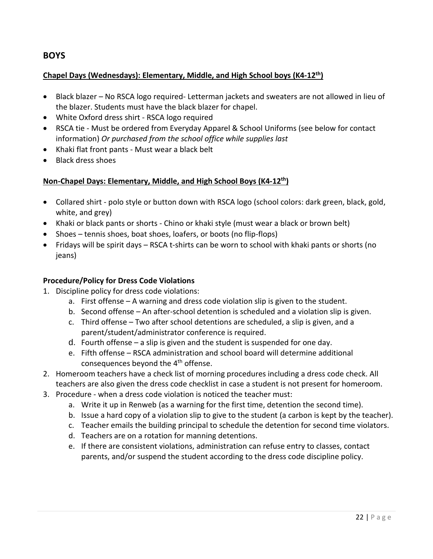# **BOYS**

#### **Chapel Days (Wednesdays): Elementary, Middle, and High School boys (K4-12th)**

- Black blazer No RSCA logo required- Letterman jackets and sweaters are not allowed in lieu of the blazer. Students must have the black blazer for chapel.
- White Oxford dress shirt RSCA logo required
- RSCA tie Must be ordered from Everyday Apparel & School Uniforms (see below for contact information) *Or purchased from the school office while supplies last*
- Khaki flat front pants Must wear a black belt
- Black dress shoes

#### **Non-Chapel Days: Elementary, Middle, and High School Boys (K4-12th)**

- Collared shirt polo style or button down with RSCA logo (school colors: dark green, black, gold, white, and grey)
- Khaki or black pants or shorts Chino or khaki style (must wear a black or brown belt)
- Shoes tennis shoes, boat shoes, loafers, or boots (no flip-flops)
- Fridays will be spirit days RSCA t-shirts can be worn to school with khaki pants or shorts (no jeans)

#### **Procedure/Policy for Dress Code Violations**

- 1. Discipline policy for dress code violations:
	- a. First offense A warning and dress code violation slip is given to the student.
	- b. Second offense An after-school detention is scheduled and a violation slip is given.
	- c. Third offense Two after school detentions are scheduled, a slip is given, and a parent/student/administrator conference is required.
	- d. Fourth offense a slip is given and the student is suspended for one day.
	- e. Fifth offense RSCA administration and school board will determine additional consequences beyond the 4<sup>th</sup> offense.
- 2. Homeroom teachers have a check list of morning procedures including a dress code check. All teachers are also given the dress code checklist in case a student is not present for homeroom.
- 3. Procedure when a dress code violation is noticed the teacher must:
	- a. Write it up in Renweb (as a warning for the first time, detention the second time).
	- b. Issue a hard copy of a violation slip to give to the student (a carbon is kept by the teacher).
	- c. Teacher emails the building principal to schedule the detention for second time violators.
	- d. Teachers are on a rotation for manning detentions.
	- e. If there are consistent violations, administration can refuse entry to classes, contact parents, and/or suspend the student according to the dress code discipline policy.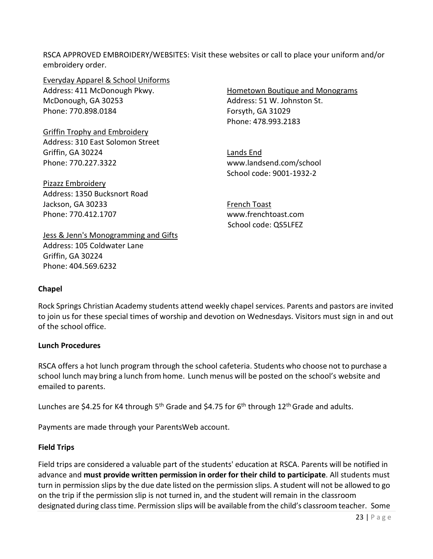RSCA APPROVED EMBROIDERY/WEBSITES: Visit these websites or call to place your uniform and/or embroidery order.

Everyday Apparel & School Uniforms Address: 411 McDonough Pkwy. McDonough, GA 30253 Phone: 770.898.0184

Griffin Trophy and Embroidery Address: 310 East Solomon Street Griffin, GA 30224 Phone: 770.227.3322

Pizazz Embroidery Address: 1350 Bucksnort Road Jackson, GA 30233 Phone: 770.412.1707

[Jess & Jenn's Monogramming and Gifts](https://www.facebook.com/jessandjenns2014/?fref=nf) Address: 105 Coldwater Lane Griffin, GA 30224 Phone: 404.569.6232

Hometown Boutique and Monograms Address: 51 W. Johnston St. Forsyth, GA 31029 Phone: 478.993.2183

Lands End www.landsend.com/school School code: 9001-1932-2

French Toast www.frenchtoast.com School code: QS5LFEZ

#### **Chapel**

Rock Springs Christian Academy students attend weekly chapel services. Parents and pastors are invited to join us for these special times of worship and devotion on Wednesdays. Visitors must sign in and out of the school office.

#### **Lunch Procedures**

RSCA offers a hot lunch program through the school cafeteria. Students who choose not to purchase a school lunch may bring a lunch from home. Lunch menus will be posted on the school's website and emailed to parents.

Lunches are \$4.25 for K4 through 5<sup>th</sup> Grade and \$4.75 for 6<sup>th</sup> through 12<sup>th</sup> Grade and adults.

Payments are made through your ParentsWeb account.

#### **Field Trips**

Field trips are considered a valuable part of the students' education at RSCA. Parents will be notified in advance and **must provide written permission in order for their child to participate**. All students must turn in permission slips by the due date listed on the permission slips. A student will not be allowed to go on the trip if the permission slip is not turned in, and the student will remain in the classroom designated during classtime. Permission slips will be available from the child's classroom teacher. Some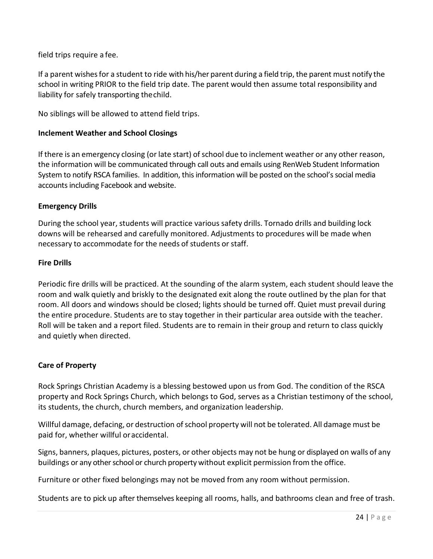field trips require a fee.

If a parent wishesfor a student to ride with his/her parent during a field trip, the parent must notify the school in writing PRIOR to the field trip date. The parent would then assume total responsibility and liability for safely transporting thechild.

No siblings will be allowed to attend field trips.

#### **Inclement Weather and School Closings**

If there is an emergency closing (or late start) of school due to inclement weather or any other reason, the information will be communicated through call outs and emails using RenWeb Student Information System to notify RSCA families. In addition, this information will be posted on the school's social media accounts including Facebook and website.

#### **Emergency Drills**

During the school year, students will practice various safety drills. Tornado drills and building lock downs will be rehearsed and carefully monitored. Adjustments to procedures will be made when necessary to accommodate for the needs of students or staff.

#### **Fire Drills**

Periodic fire drills will be practiced. At the sounding of the alarm system, each student should leave the room and walk quietly and briskly to the designated exit along the route outlined by the plan for that room. All doors and windows should be closed; lights should be turned off. Quiet must prevail during the entire procedure. Students are to stay together in their particular area outside with the teacher. Roll will be taken and a report filed. Students are to remain in their group and return to class quickly and quietly when directed.

#### **Care of Property**

Rock Springs Christian Academy is a blessing bestowed upon us from God. The condition of the RSCA property and Rock Springs Church, which belongs to God, serves as a Christian testimony of the school, its students, the church, church members, and organization leadership.

Willful damage, defacing, or destruction of school property will not be tolerated. All damage must be paid for, whether willful oraccidental.

Signs, banners, plaques, pictures, posters, or other objects may not be hung or displayed on walls of any buildings or any other school or church property without explicit permission from the office.

Furniture or other fixed belongings may not be moved from any room without permission.

Students are to pick up after themselves keeping all rooms, halls, and bathrooms clean and free of trash.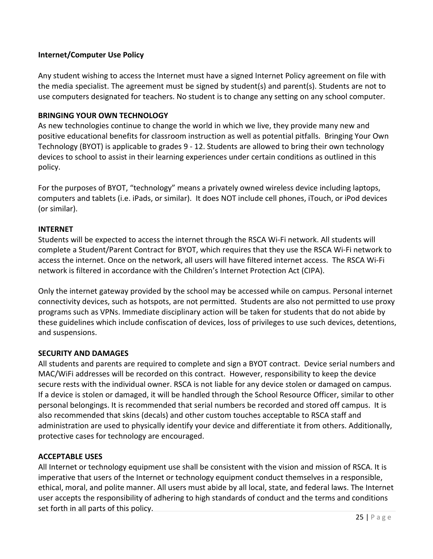#### **Internet/Computer Use Policy**

Any student wishing to access the Internet must have a signed Internet Policy agreement on file with the media specialist. The agreement must be signed by student(s) and parent(s). Students are not to use computers designated for teachers. No student is to change any setting on any school computer.

#### **BRINGING YOUR OWN TECHNOLOGY**

As new technologies continue to change the world in which we live, they provide many new and positive educational benefits for classroom instruction as well as potential pitfalls. Bringing Your Own Technology (BYOT) is applicable to grades 9 - 12. Students are allowed to bring their own technology devices to school to assist in their learning experiences under certain conditions as outlined in this policy.

For the purposes of BYOT, "technology" means a privately owned wireless device including laptops, computers and tablets (i.e. iPads, or similar). It does NOT include cell phones, iTouch, or iPod devices (or similar).

#### **INTERNET**

Students will be expected to access the internet through the RSCA Wi-Fi network. All students will complete a Student/Parent Contract for BYOT, which requires that they use the RSCA Wi-Fi network to access the internet. Once on the network, all users will have filtered internet access. The RSCA Wi-Fi network is filtered in accordance with the Children's Internet Protection Act (CIPA).

Only the internet gateway provided by the school may be accessed while on campus. Personal internet connectivity devices, such as hotspots, are not permitted. Students are also not permitted to use proxy programs such as VPNs. Immediate disciplinary action will be taken for students that do not abide by these guidelines which include confiscation of devices, loss of privileges to use such devices, detentions, and suspensions.

#### **SECURITY AND DAMAGES**

All students and parents are required to complete and sign a BYOT contract. Device serial numbers and MAC/WiFi addresses will be recorded on this contract. However, responsibility to keep the device secure rests with the individual owner. RSCA is not liable for any device stolen or damaged on campus. If a device is stolen or damaged, it will be handled through the School Resource Officer, similar to other personal belongings. It is recommended that serial numbers be recorded and stored off campus. It is also recommended that skins (decals) and other custom touches acceptable to RSCA staff and administration are used to physically identify your device and differentiate it from others. Additionally, protective cases for technology are encouraged.

#### **ACCEPTABLE USES**

All Internet or technology equipment use shall be consistent with the vision and mission of RSCA. It is imperative that users of the Internet or technology equipment conduct themselves in a responsible, ethical, moral, and polite manner. All users must abide by all local, state, and federal laws. The Internet user accepts the responsibility of adhering to high standards of conduct and the terms and conditions set forth in all parts of this policy.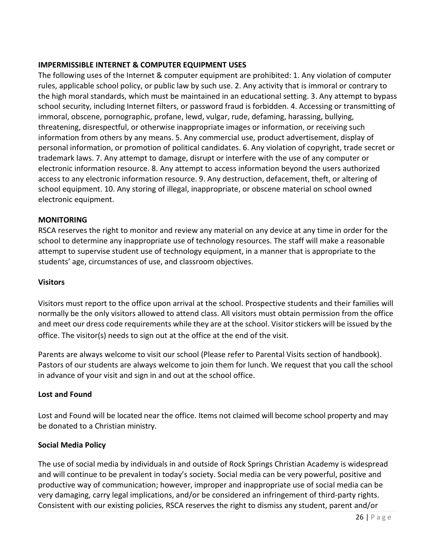#### **IMPERMISSIBLE INTERNET & COMPUTER EQUIPMENT USES**

The following uses of the Internet & computer equipment are prohibited: 1. Any violation of computer rules, applicable school policy, or public law by such use. 2. Any activity that is immoral or contrary to the high moral standards, which must be maintained in an educational setting. 3. Any attempt to bypass school security, including Internet filters, or password fraud is forbidden. 4. Accessing or transmitting of immoral, obscene, pornographic, profane, lewd, vulgar, rude, defaming, harassing, bullying, threatening, disrespectful, or otherwise inappropriate images or information, or receiving such information from others by any means. 5. Any commercial use, product advertisement, display of personal information, or promotion of political candidates. 6. Any violation of copyright, trade secret or trademark laws. 7. Any attempt to damage, disrupt or interfere with the use of any computer or electronic information resource. 8. Any attempt to access information beyond the users authorized access to any electronic information resource. 9. Any destruction, defacement, theft, or altering of school equipment. 10. Any storing of illegal, inappropriate, or obscene material on school owned electronic equipment.

#### **MONITORING**

RSCA reserves the right to monitor and review any material on any device at any time in order for the school to determine any inappropriate use of technology resources. The staff will make a reasonable attempt to supervise student use of technology equipment, in a manner that is appropriate to the students' age, circumstances of use, and classroom objectives.

#### **Visitors**

Visitors must report to the office upon arrival at the school. Prospective students and their families will normally be the only visitors allowed to attend class. All visitors must obtain permission from the office and meet our dress code requirements while they are at the school. Visitor stickers will be issued by the office. The visitor(s) needs to sign out at the office at the end of the visit.

Parents are always welcome to visit our school (Please refer to Parental Visits section of handbook). Pastors of our students are always welcome to join them for lunch. We request that you call the school in advance of your visit and sign in and out at the school office.

#### **Lost and Found**

Lost and Found will be located near the office. Items not claimed will become school property and may be donated to a Christian ministry.

#### **Social Media Policy**

The use of social media by individuals in and outside of Rock Springs Christian Academy is widespread and will continue to be prevalent in today's society. Social media can be very powerful, positive and productive way of communication; however, improper and inappropriate use of social media can be very damaging, carry legal implications, and/or be considered an infringement of third-party rights. Consistent with our existing policies, RSCA reserves the right to dismiss any student, parent and/or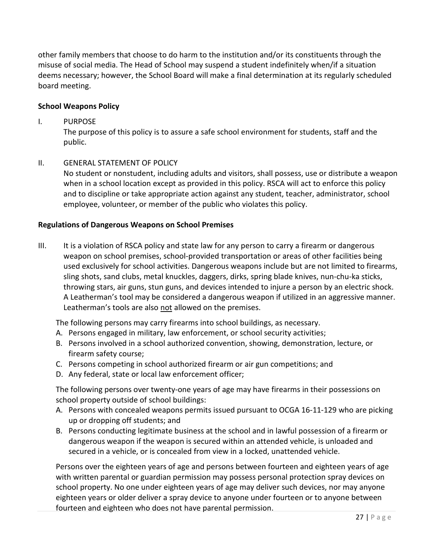other family members that choose to do harm to the institution and/or its constituents through the misuse of social media. The Head of School may suspend a student indefinitely when/if a situation deems necessary; however, the School Board will make a final determination at its regularly scheduled board meeting.

#### **School Weapons Policy**

#### I. PURPOSE

The purpose of this policy is to assure a safe school environment for students, staff and the public.

#### II. GENERAL STATEMENT OF POLICY

No student or nonstudent, including adults and visitors, shall possess, use or distribute a weapon when in a school location except as provided in this policy. RSCA will act to enforce this policy and to discipline or take appropriate action against any student, teacher, administrator, school employee, volunteer, or member of the public who violates this policy.

#### **Regulations of Dangerous Weapons on School Premises**

III. It is a violation of RSCA policy and state law for any person to carry a firearm or dangerous weapon on school premises, school-provided transportation or areas of other facilities being used exclusively for school activities. Dangerous weapons include but are not limited to firearms, sling shots, sand clubs, metal knuckles, daggers, dirks, spring blade knives, nun-chu-ka sticks, throwing stars, air guns, stun guns, and devices intended to injure a person by an electric shock. A Leatherman's tool may be considered a dangerous weapon if utilized in an aggressive manner. Leatherman's tools are also not allowed on the premises.

The following persons may carry firearms into school buildings, as necessary.

- A. Persons engaged in military, law enforcement, or school security activities;
- B. Persons involved in a school authorized convention, showing, demonstration, lecture, or firearm safety course;
- C. Persons competing in school authorized firearm or air gun competitions; and
- D. Any federal, state or local law enforcement officer;

The following persons over twenty-one years of age may have firearms in their possessions on school property outside of school buildings:

- A. Persons with concealed weapons permits issued pursuant to OCGA 16-11-129 who are picking up or dropping off students; and
- B. Persons conducting legitimate business at the school and in lawful possession of a firearm or dangerous weapon if the weapon is secured within an attended vehicle, is unloaded and secured in a vehicle, or is concealed from view in a locked, unattended vehicle.

Persons over the eighteen years of age and persons between fourteen and eighteen years of age with written parental or guardian permission may possess personal protection spray devices on school property. No one under eighteen years of age may deliver such devices, nor may anyone eighteen years or older deliver a spray device to anyone under fourteen or to anyone between fourteen and eighteen who does not have parental permission.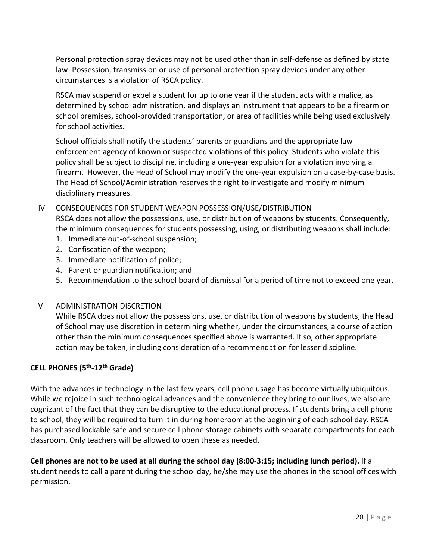Personal protection spray devices may not be used other than in self-defense as defined by state law. Possession, transmission or use of personal protection spray devices under any other circumstances is a violation of RSCA policy.

RSCA may suspend or expel a student for up to one year if the student acts with a malice, as determined by school administration, and displays an instrument that appears to be a firearm on school premises, school-provided transportation, or area of facilities while being used exclusively for school activities.

School officials shall notify the students' parents or guardians and the appropriate law enforcement agency of known or suspected violations of this policy. Students who violate this policy shall be subject to discipline, including a one-year expulsion for a violation involving a firearm. However, the Head of School may modify the one-year expulsion on a case-by-case basis. The Head of School/Administration reserves the right to investigate and modify minimum disciplinary measures.

# IV CONSEQUENCES FOR STUDENT WEAPON POSSESSION/USE/DISTRIBUTION RSCA does not allow the possessions, use, or distribution of weapons by students. Consequently, the minimum consequences for students possessing, using, or distributing weapons shall include:

- 1. Immediate out-of-school suspension;
- 2. Confiscation of the weapon;
- 3. Immediate notification of police;
- 4. Parent or guardian notification; and
- 5. Recommendation to the school board of dismissal for a period of time not to exceed one year.

#### V ADMINISTRATION DISCRETION

While RSCA does not allow the possessions, use, or distribution of weapons by students, the Head of School may use discretion in determining whether, under the circumstances, a course of action other than the minimum consequences specified above is warranted. If so, other appropriate action may be taken, including consideration of a recommendation for lesser discipline.

#### **CELL PHONES (5th-12th Grade)**

With the advances in technology in the last few years, cell phone usage has become virtually ubiquitous. While we rejoice in such technological advances and the convenience they bring to our lives, we also are cognizant of the fact that they can be disruptive to the educational process. If students bring a cell phone to school, they will be required to turn it in during homeroom at the beginning of each school day. RSCA has purchased lockable safe and secure cell phone storage cabinets with separate compartments for each classroom. Only teachers will be allowed to open these as needed.

**Cell phones are not to be used at all during the school day (8:00-3:15; including lunch period).** If a student needs to call a parent during the school day, he/she may use the phones in the school offices with permission.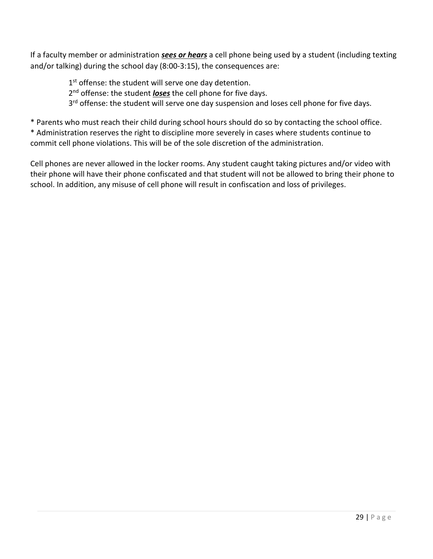If a faculty member or administration *sees or hears* a cell phone being used by a student (including texting and/or talking) during the school day (8:00-3:15), the consequences are:

1<sup>st</sup> offense: the student will serve one day detention.

2<sup>nd</sup> offense: the student *loses* the cell phone for five days.

3<sup>rd</sup> offense: the student will serve one day suspension and loses cell phone for five days.

\* Parents who must reach their child during school hours should do so by contacting the school office.

\* Administration reserves the right to discipline more severely in cases where students continue to commit cell phone violations. This will be of the sole discretion of the administration.

Cell phones are never allowed in the locker rooms. Any student caught taking pictures and/or video with their phone will have their phone confiscated and that student will not be allowed to bring their phone to school. In addition, any misuse of cell phone will result in confiscation and loss of privileges.